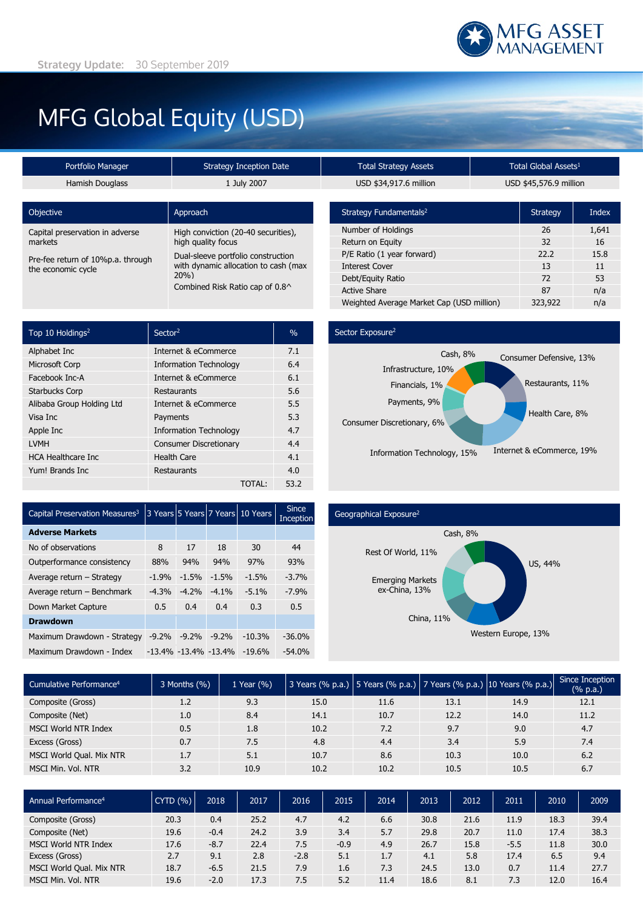# MFG Global Equity (USD)

| Portfolio Manager                                       | <b>Strategy Inception Date</b>                                                    |  |  |  |  |
|---------------------------------------------------------|-----------------------------------------------------------------------------------|--|--|--|--|
| Hamish Douglass                                         | 1 July 2007                                                                       |  |  |  |  |
|                                                         |                                                                                   |  |  |  |  |
| <b>Objective</b>                                        | Approach                                                                          |  |  |  |  |
| Capital preservation in adverse<br>markets              | High conviction (20-40 securities),<br>high quality focus                         |  |  |  |  |
| Pre-fee return of 10%p.a. through<br>the economic cycle | Dual-sleeve portfolio construction<br>with dynamic allocation to cash (max<br>20% |  |  |  |  |
|                                                         | Combined Risk Ratio cap of 0.8^                                                   |  |  |  |  |

| Top 10 Holdings <sup>2</sup> | Sector <sup>2</sup>           | $\%$ |
|------------------------------|-------------------------------|------|
| Alphabet Inc                 | Internet & eCommerce          | 7.1  |
| <b>Microsoft Corp</b>        | <b>Information Technology</b> | 6.4  |
| Facebook Inc-A               | Internet & eCommerce          | 6.1  |
| <b>Starbucks Corp</b>        | Restaurants                   | 5.6  |
| Alibaba Group Holding Ltd    | Internet & eCommerce          | 5.5  |
| Visa Inc                     | Payments                      | 5.3  |
| Apple Inc                    | <b>Information Technology</b> | 4.7  |
| <b>LVMH</b>                  | <b>Consumer Discretionary</b> | 4.4  |
| <b>HCA Healthcare Inc.</b>   | <b>Health Care</b>            | 4.1  |
| Yum! Brands Inc              | Restaurants                   | 4.0  |
|                              | TOTAL:                        | 53.2 |

## Potal Strategy Assets **Protal Strategy Assets** Total Global Assets<sup>1</sup> USD \$34,917.6 million USD \$45,576.9 million

| Strategy Fundamentals <sup>2</sup>        | <b>Strategy</b> | Index |
|-------------------------------------------|-----------------|-------|
| Number of Holdings                        | 26              | 1,641 |
| Return on Equity                          | 32              | 16    |
| P/E Ratio (1 year forward)                | 22.2            | 15.8  |
| <b>Interest Cover</b>                     | 13              | 11    |
| Debt/Equity Ratio                         | 72              | 53    |
| <b>Active Share</b>                       | 87              | n/a   |
| Weighted Average Market Cap (USD million) | 323,922         | n/a   |

## Sector Exposure<sup>2</sup>



| Capital Preservation Measures <sup>3</sup> |         |                           |         | 3 Years 5 Years 7 Years 10 Years | <b>Since</b><br>Inception |
|--------------------------------------------|---------|---------------------------|---------|----------------------------------|---------------------------|
| <b>Adverse Markets</b>                     |         |                           |         |                                  |                           |
| No of observations                         | 8       | 17                        | 18      | 30                               | 44                        |
| Outperformance consistency                 | 88%     | 94%                       | 94%     | 97%                              | 93%                       |
| Average return - Strategy                  | $-1.9%$ | $-1.5%$                   | $-1.5%$ | $-1.5%$                          | $-3.7%$                   |
| Average return - Benchmark                 | $-4.3%$ | $-4.2%$                   | $-4.1%$ | $-5.1%$                          | $-7.9%$                   |
| Down Market Capture                        | 0.5     | 0.4                       | 0.4     | 0.3                              | 0.5                       |
| <b>Drawdown</b>                            |         |                           |         |                                  |                           |
| Maximum Drawdown - Strategy                | $-9.2%$ | $-9.2%$                   | $-9.2%$ | $-10.3%$                         | $-36.0%$                  |
| Maximum Drawdown - Index                   |         | $-13.4\% -13.4\% -13.4\%$ |         | $-19.6%$                         | $-54.0%$                  |

### Geographical Exposure2



| Cumulative Performance <sup>4</sup> | 3 Months (%) | 1 Year (%) |      |      |      | 3 Years (% p.a.)   5 Years (% p.a.)   7 Years (% p.a.)   10 Years (% p.a.) | Since Inception<br>(% p.a.) |
|-------------------------------------|--------------|------------|------|------|------|----------------------------------------------------------------------------|-----------------------------|
| Composite (Gross)                   | 1.2          | 9.3        | 15.0 | 11.6 | 13.1 | 14.9                                                                       | 12.1                        |
| Composite (Net)                     | 1.0          | 8.4        | 14.1 | 10.7 | 12.2 | 14.0                                                                       | 11.2                        |
| <b>MSCI World NTR Index</b>         | 0.5          | 1.8        | 10.2 | 7.2  | 9.7  | 9.0                                                                        | 4.7                         |
| Excess (Gross)                      | 0.7          | 7.5        | 4.8  | 4.4  | 3.4  | 5.9                                                                        | 7.4                         |
| MSCI World Qual. Mix NTR            | 1.7          | 5.1        | 10.7 | 8.6  | 10.3 | 10.0                                                                       | 6.2                         |
| MSCI Min. Vol. NTR                  | 3.2          | 10.9       | 10.2 | 10.2 | 10.5 | 10.5                                                                       | 6.7                         |

| Annual Performance <sup>4</sup> | <b>CYTD (%)</b> | 2018   | 2017 | 2016   | 2015   | 2014 | 2013 | 2012 | 2011   | 2010 | 2009 |
|---------------------------------|-----------------|--------|------|--------|--------|------|------|------|--------|------|------|
| Composite (Gross)               | 20.3            | 0.4    | 25.2 | 4.7    | 4.2    | 6.6  | 30.8 | 21.6 | 11.9   | 18.3 | 39.4 |
| Composite (Net)                 | 19.6            | $-0.4$ | 24.2 | 3.9    | 3.4    | 5.7  | 29.8 | 20.7 | 11.0   | 17.4 | 38.3 |
| <b>MSCI World NTR Index</b>     | 17.6            | $-8.7$ | 22.4 | 7.5    | $-0.9$ | 4.9  | 26.7 | 15.8 | $-5.5$ | 11.8 | 30.0 |
| Excess (Gross)                  | 2.7             | 9.1    | 2.8  | $-2.8$ | 5.1    | 1.7  | 4.1  | 5.8  | 17.4   | 6.5  | 9.4  |
| MSCI World Qual. Mix NTR        | 18.7            | $-6.5$ | 21.5 | 7.9    | 1.6    | 7.3  | 24.5 | 13.0 | 0.7    | 11.4 | 27.7 |
| MSCI Min. Vol. NTR              | 19.6            | $-2.0$ | 17.3 | 7.5    | 5.2    | 11.4 | 18.6 | 8.1  | 7.3    | 12.0 | 16.4 |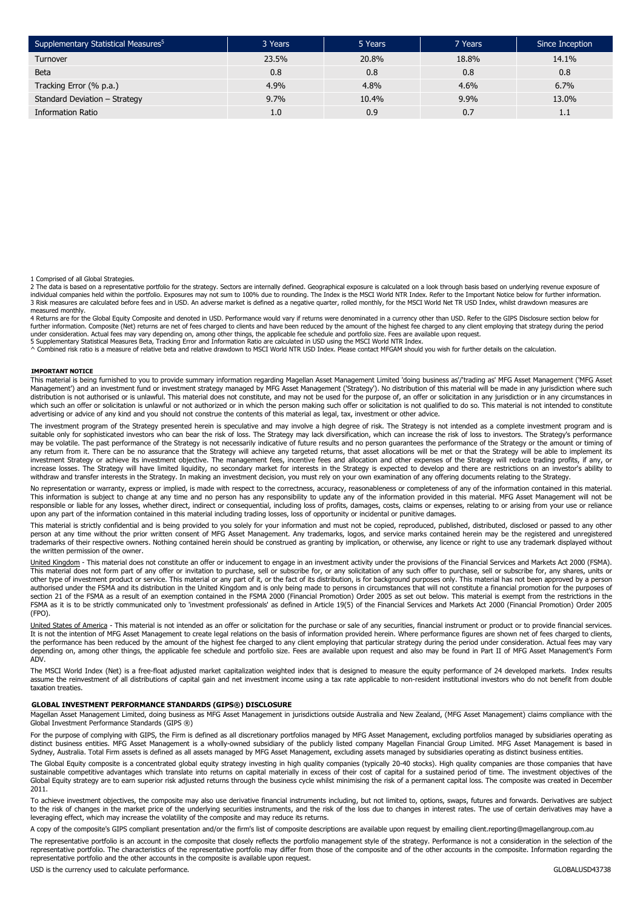| Supplementary Statistical Measures <sup>5</sup> | 3 Years | 5 Years | 7 Years | Since Inception |
|-------------------------------------------------|---------|---------|---------|-----------------|
| Turnover                                        | 23.5%   | 20.8%   | 18.8%   | 14.1%           |
| <b>Beta</b>                                     | 0.8     | 0.8     | 0.8     | 0.8             |
| Tracking Error (% p.a.)                         | 4.9%    | 4.8%    | 4.6%    | 6.7%            |
| Standard Deviation - Strategy                   | 9.7%    | 10.4%   | 9.9%    | 13.0%           |
| <b>Information Ratio</b>                        |         | 0.9     | 0.7     | 1.1             |

1 Comprised of all Global Strategies.

2 The data is based on a representative portfolio for the strategy. Sectors are internally defined. Geographical exposure is calculated on a look through basis based on underlying revenue exposure of<br>individual companies h 3 Risk measures are calculated before fees and in USD. An adverse market is defined as a negative quarter, rolled monthly, for the MSCI World Net TR USD Index, whilst drawdown measures are

measured monthly.<br>4 Returns are for the Global Equity Composite and denoted in USD. Performance would vary if returns were denominated in a currency other than USD. Refer to the GIPS Disclosure section below for further information. Composite (Net) returns are net of fees charged to clients and have been reduced by the amount of the highest fee charged to any client employing that strategy during the period<br>under consideration. Ac

^ Combined risk ratio is a measure of relative beta and relative drawdown to MSCI World NTR USD Index. Please contact MFGAM should you wish for further details on the calculation.

#### **IMPORTANT NOTICE**

This material is being furnished to you to provide summary information regarding Magellan Asset Management Limited 'doing business as'/'trading as' MFG Asset Management ('MFG Asset<br>Management') and an investment fund or in which such an offer or solicitation is unlawful or not authorized or in which the person making such offer or solicitation is not qualified to do so. This material is not intended to constitute advertising or advice of any kind and you should not construe the contents of this material as legal, tax, investment or other advice.

The investment program of the Strategy presented herein is speculative and may involve a high degree of risk. The Strategy is not intended as a complete investment program and is suitable only for sophisticated investors who can bear the risk of loss. The Strategy may lack diversification, which can increase the risk of loss to investors. The Strategy's performance<br>may be volatile. The past perform any return from it. There can be no assurance that the Strategy will achieve any targeted returns, that asset allocations will be met or that the Strategy will be able to implement its investment Strategy or achieve its investment objective. The management fees, incentive fees and allocation and other expenses of the Strategy will reduce trading profits, if any, or increase losses. The Strategy will have limited liquidity, no secondary market for interests in the Strategy is expected to develop and there are restrictions on an investor's ability to withdraw and transfer interests in the Strategy. In making an investment decision, you must rely on your own examination of any offering documents relating to the Strategy.

No representation or warranty, express or implied, is made with respect to the correctness, accuracy, reasonableness or completeness of any of the information contained in this material.<br>This information is subject to chan responsible or liable for any losses, whether direct, indirect or consequential, including loss of profits, damages, costs, claims or expenses, relating to or arising from your use or reliance upon any part of the information contained in this material including trading losses, loss of opportunity or incidental or punitive damages.

This material is strictly confidential and is being provided to you solely for your information and must not be copied, reproduced, published, distributed, disclosed or passed to any other<br>person at any time without the pr the written permission of the owner.

United Kingdom - This material does not constitute an offer or inducement to engage in an investment activity under the provisions of the Financial Services and Markets Act 2000 (FSMA). This material does not form part of any offer or invitation to purchase, sell or subscribe for, or any solicitation of any such offer to purchase, sell or subscribe for, any shares, units or<br>other type of investment produc authorised under the FSMA and its distribution in the United Kingdom and is only being made to persons in circumstances that will not constitute a financial promotion for the purposes of section 21 of the FSMA as a result of an exemption contained in the FSMA 2000 (Financial Promotion) Order 2005 as set out below. This material is exempt from the restrictions in the FSMA as it is to be strictly communicated only to 'investment professionals' as defined in Article 19(5) of the Financial Services and Markets Act 2000 (Financial Promotion) Order 2005 (FPO).

<u>United States of America</u> - This material is not intended as an offer or solicitation for the purchase or sale of any securities, financial instrument or product or to provide financial services.<br>It is not the intention o the performance has been reduced by the amount of the highest fee charged to any client employing that particular strategy during the period under consideration. Actual fees may vary depending on, among other things, the applicable fee schedule and portfolio size. Fees are available upon request and also may be found in Part II of MFG Asset Management's Form ADV.

The MSCI World Index (Net) is a free-float adjusted market capitalization weighted index that is designed to measure the equity performance of 24 developed markets. Index results assume the reinvestment of all distributions of capital gain and net investment income using a tax rate applicable to non-resident institutional investors who do not benefit from double taxation treaties.

#### **GLOBAL INVESTMENT PERFORMANCE STANDARDS (GIPS®) DISCLOSURE**

Magellan Asset Management Limited, doing business as MFG Asset Management in jurisdictions outside Australia and New Zealand, (MFG Asset Management) claims compliance with the Global Investment Performance Standards (GIPS ®)

For the purpose of complying with GIPS, the Firm is defined as all discretionary portfolios managed by MFG Asset Management, excluding portfolios managed by subsidiaries operating as distinct business entities. MFG Asset Management is a wholly-owned subsidiary of the publicly listed company Magellan Financial Group Limited. MFG Asset Management is based in<br>Sydney, Australia. Total Firm assets is define

The Global Equity composite is a concentrated global equity strategy investing in high quality companies (typically 20-40 stocks). High quality companies are those companies that have sustainable competitive advantages which translate into returns on capital materially in excess of their cost of capital for a sustained period of time. The investment objectives of the Global Equity strategy are to earn superior risk adjusted returns through the business cycle whilst minimising the risk of a permanent capital loss. The composite was created in December 2011.

To achieve investment objectives, the composite may also use derivative financial instruments including, but not limited to, options, swaps, futures and forwards. Derivatives are subject<br>to the risk of changes in the marke leveraging effect, which may increase the volatility of the composite and may reduce its returns.

A copy of the composite's GIPS compliant presentation and/or the firm's list of composite descriptions are available upon request by emailing client.reporting@magellangroup.com.au

The representative portfolio is an account in the composite that closely reflects the portfolio management style of the strategy. Performance is not a consideration in the selection of the representative portfolio. The characteristics of the representative portfolio may differ from those of the composite and of the other accounts in the composite. Information regarding the representative portfolio and the other accounts in the composite is available upon request.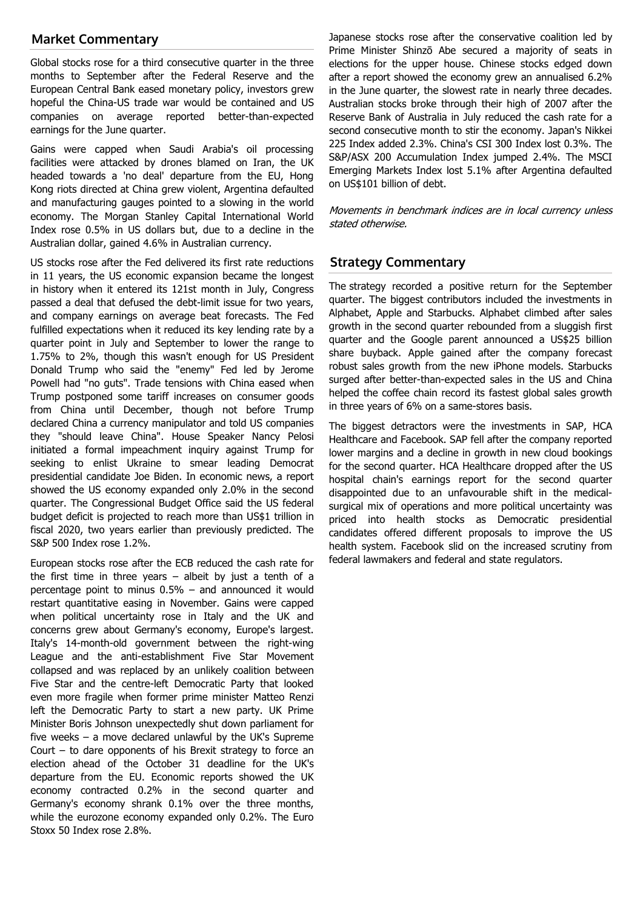## **Market Commentary**

Global stocks rose for a third consecutive quarter in the three months to September after the Federal Reserve and the European Central Bank eased monetary policy, investors grew hopeful the China-US trade war would be contained and US companies on average reported better-than-expected earnings for the June quarter.

Gains were capped when Saudi Arabia's oil processing facilities were attacked by drones blamed on Iran, the UK headed towards a 'no deal' departure from the EU, Hong Kong riots directed at China grew violent, Argentina defaulted and manufacturing gauges pointed to a slowing in the world economy. The Morgan Stanley Capital International World Index rose 0.5% in US dollars but, due to a decline in the Australian dollar, gained 4.6% in Australian currency.

US stocks rose after the Fed delivered its first rate reductions in 11 years, the US economic expansion became the longest in history when it entered its 121st month in July, Congress passed a deal that defused the debt-limit issue for two years, and company earnings on average beat forecasts. The Fed fulfilled expectations when it reduced its key lending rate by a quarter point in July and September to lower the range to 1.75% to 2%, though this wasn't enough for US President Donald Trump who said the "enemy" Fed led by Jerome Powell had "no guts". Trade tensions with China eased when Trump postponed some tariff increases on consumer goods from China until December, though not before Trump declared China a currency manipulator and told US companies they "should leave China". House Speaker Nancy Pelosi initiated a formal impeachment inquiry against Trump for seeking to enlist Ukraine to smear leading Democrat presidential candidate Joe Biden. In economic news, a report showed the US economy expanded only 2.0% in the second quarter. The Congressional Budget Office said the US federal budget deficit is projected to reach more than US\$1 trillion in fiscal 2020, two years earlier than previously predicted. The S&P 500 Index rose 1.2%.

European stocks rose after the ECB reduced the cash rate for the first time in three years  $-$  albeit by just a tenth of a percentage point to minus 0.5% – and announced it would restart quantitative easing in November. Gains were capped when political uncertainty rose in Italy and the UK and concerns grew about Germany's economy, Europe's largest. Italy's 14-month-old government between the right-wing League and the anti-establishment Five Star Movement collapsed and was replaced by an unlikely coalition between Five Star and the centre-left Democratic Party that looked even more fragile when former prime minister Matteo Renzi left the Democratic Party to start a new party. UK Prime Minister Boris Johnson unexpectedly shut down parliament for five weeks – a move declared unlawful by the UK's Supreme Court – to dare opponents of his Brexit strategy to force an election ahead of the October 31 deadline for the UK's departure from the EU. Economic reports showed the UK economy contracted 0.2% in the second quarter and Germany's economy shrank 0.1% over the three months, while the eurozone economy expanded only 0.2%. The Euro Stoxx 50 Index rose 2.8%.

Japanese stocks rose after the conservative coalition led by Prime Minister Shinzō Abe secured a majority of seats in elections for the upper house. Chinese stocks edged down after a report showed the economy grew an annualised 6.2% in the June quarter, the slowest rate in nearly three decades. Australian stocks broke through their high of 2007 after the Reserve Bank of Australia in July reduced the cash rate for a second consecutive month to stir the economy. Japan's Nikkei 225 Index added 2.3%. China's CSI 300 Index lost 0.3%. The S&P/ASX 200 Accumulation Index jumped 2.4%. The MSCI Emerging Markets Index lost 5.1% after Argentina defaulted on US\$101 billion of debt.

Movements in benchmark indices are in local currency unless stated otherwise.

## **Strategy Commentary**

The strategy recorded a positive return for the September quarter. The biggest contributors included the investments in Alphabet, Apple and Starbucks. Alphabet climbed after sales growth in the second quarter rebounded from a sluggish first quarter and the Google parent announced a US\$25 billion share buyback. Apple gained after the company forecast robust sales growth from the new iPhone models. Starbucks surged after better-than-expected sales in the US and China helped the coffee chain record its fastest global sales growth in three years of 6% on a same-stores basis.

The biggest detractors were the investments in SAP, HCA Healthcare and Facebook. SAP fell after the company reported lower margins and a decline in growth in new cloud bookings for the second quarter. HCA Healthcare dropped after the US hospital chain's earnings report for the second quarter disappointed due to an unfavourable shift in the medicalsurgical mix of operations and more political uncertainty was priced into health stocks as Democratic presidential candidates offered different proposals to improve the US health system. Facebook slid on the increased scrutiny from federal lawmakers and federal and state regulators.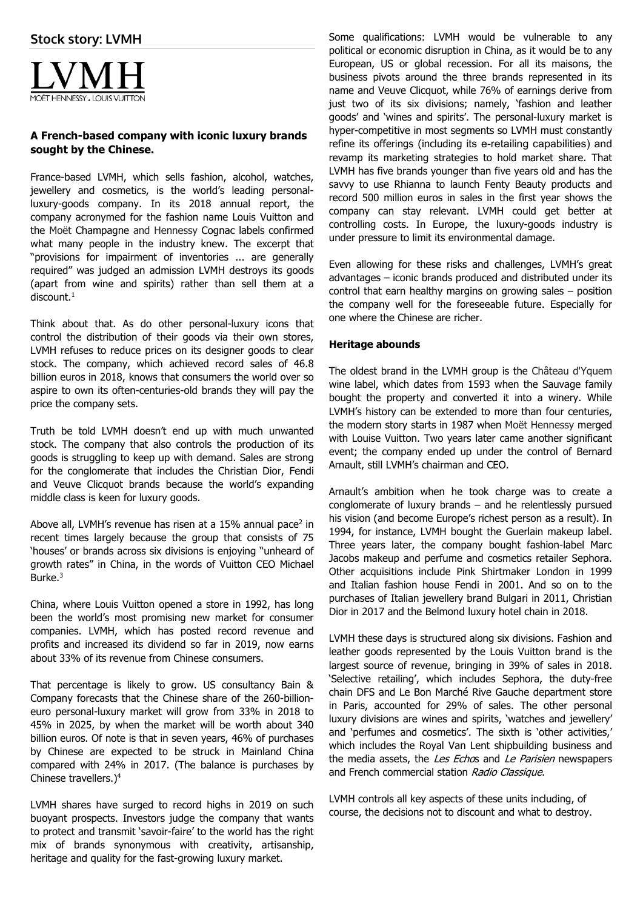

## **A French-based company with iconic luxury brands sought by the Chinese.**

France-based LVMH, which sells fashion, alcohol, watches, jewellery and cosmetics, is the world's leading personalluxury-goods company. In its 2018 annual report, the company acronymed for the fashion name Louis Vuitton and the Moët Champagne and Hennessy Cognac labels confirmed what many people in the industry knew. The excerpt that "provisions for impairment of inventories ... are generally required" was judged an admission LVMH destroys its goods (apart from wine and spirits) rather than sell them at a  $discount.<sup>1</sup>$ 

Think about that. As do other personal-luxury icons that control the distribution of their goods via their own stores, LVMH refuses to reduce prices on its designer goods to clear stock. The company, which achieved record sales of 46.8 billion euros in 2018, knows that consumers the world over so aspire to own its often-centuries-old brands they will pay the price the company sets.

Truth be told LVMH doesn't end up with much unwanted stock. The company that also controls the production of its goods is struggling to keep up with demand. Sales are strong for the conglomerate that includes the Christian Dior, Fendi and Veuve Clicquot brands because the world's expanding middle class is keen for luxury goods.

Above all, LVMH's revenue has risen at a 15% annual pace<sup>2</sup> in recent times largely because the group that consists of 75 'houses' or brands across six divisions is enjoying "unheard of growth rates" in China, in the words of Vuitton CEO Michael Burke.<sup>3</sup>

China, where Louis Vuitton opened a store in 1992, has long been the world's most promising new market for consumer companies. LVMH, which has posted record revenue and profits and increased its dividend so far in 2019, now earns about 33% of its revenue from Chinese consumers.

That percentage is likely to grow. US consultancy Bain & Company forecasts that the Chinese share of the 260-billioneuro personal-luxury market will grow from 33% in 2018 to 45% in 2025, by when the market will be worth about 340 billion euros. Of note is that in seven years, 46% of purchases by Chinese are expected to be struck in Mainland China compared with 24% in 2017. (The balance is purchases by Chinese travellers.)4

LVMH shares have surged to record highs in 2019 on such buoyant prospects. Investors judge the company that wants to protect and transmit 'savoir-faire' to the world has the right mix of brands synonymous with creativity, artisanship, heritage and quality for the fast-growing luxury market.

Some qualifications: LVMH would be vulnerable to any political or economic disruption in China, as it would be to any European, US or global recession. For all its maisons, the business pivots around the three brands represented in its name and Veuve Clicquot, while 76% of earnings derive from just two of its six divisions; namely, 'fashion and leather goods' and 'wines and spirits'. The personal-luxury market is hyper-competitive in most segments so LVMH must constantly refine its offerings (including its e-retailing capabilities) and revamp its marketing strategies to hold market share. That LVMH has five brands younger than five years old and has the savvy to use Rhianna to launch Fenty Beauty products and record 500 million euros in sales in the first year shows the company can stay relevant. LVMH could get better at controlling costs. In Europe, the luxury-goods industry is under pressure to limit its environmental damage.

Even allowing for these risks and challenges, LVMH's great advantages – iconic brands produced and distributed under its control that earn healthy margins on growing sales – position the company well for the foreseeable future. Especially for one where the Chinese are richer.

## **Heritage abounds**

The oldest brand in the LVMH group is the Château d'Yquem wine label, which dates from 1593 when the Sauvage family bought the property and converted it into a winery. While LVMH's history can be extended to more than four centuries, the modern story starts in 1987 when Moët Hennessy merged with Louise Vuitton. Two years later came another significant event; the company ended up under the control of Bernard Arnault, still LVMH's chairman and CEO.

Arnault's ambition when he took charge was to create a conglomerate of luxury brands – and he relentlessly pursued his vision (and become Europe's richest person as a result). In 1994, for instance, LVMH bought the Guerlain makeup label. Three years later, the company bought fashion-label Marc Jacobs makeup and perfume and cosmetics retailer Sephora. Other acquisitions include Pink Shirtmaker London in 1999 and Italian fashion house Fendi in 2001. And so on to the purchases of Italian jewellery brand Bulgari in 2011, Christian Dior in 2017 and the Belmond luxury hotel chain in 2018.

LVMH these days is structured along six divisions. Fashion and leather goods represented by the Louis Vuitton brand is the largest source of revenue, bringing in 39% of sales in 2018. 'Selective retailing', which includes Sephora, the duty-free chain DFS and Le Bon Marché Rive Gauche department store in Paris, accounted for 29% of sales. The other personal luxury divisions are wines and spirits, 'watches and jewellery' and 'perfumes and cosmetics'. The sixth is 'other activities,' which includes the Royal Van Lent shipbuilding business and the media assets, the Les Echos and Le Parisien newspapers and French commercial station Radio Classique.

LVMH controls all key aspects of these units including, of course, the decisions not to discount and what to destroy.